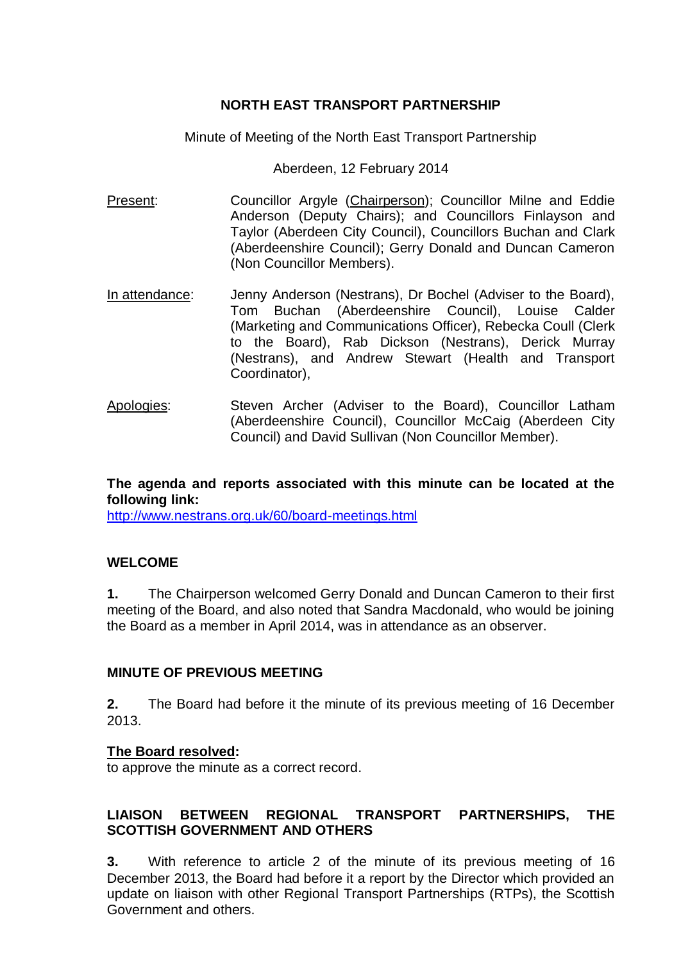# **NORTH EAST TRANSPORT PARTNERSHIP**

Minute of Meeting of the North East Transport Partnership

Aberdeen, 12 February 2014

- Present: Councillor Argyle (Chairperson); Councillor Milne and Eddie Anderson (Deputy Chairs); and Councillors Finlayson and Taylor (Aberdeen City Council), Councillors Buchan and Clark (Aberdeenshire Council); Gerry Donald and Duncan Cameron (Non Councillor Members).
- In attendance: Jenny Anderson (Nestrans), Dr Bochel (Adviser to the Board), Tom Buchan (Aberdeenshire Council), Louise Calder (Marketing and Communications Officer), Rebecka Coull (Clerk to the Board), Rab Dickson (Nestrans), Derick Murray (Nestrans), and Andrew Stewart (Health and Transport Coordinator),
- Apologies: Steven Archer (Adviser to the Board), Councillor Latham (Aberdeenshire Council), Councillor McCaig (Aberdeen City Council) and David Sullivan (Non Councillor Member).

**The agenda and reports associated with this minute can be located at the following link:**

<http://www.nestrans.org.uk/60/board-meetings.html>

# **WELCOME**

**1.** The Chairperson welcomed Gerry Donald and Duncan Cameron to their first meeting of the Board, and also noted that Sandra Macdonald, who would be joining the Board as a member in April 2014, was in attendance as an observer.

## **MINUTE OF PREVIOUS MEETING**

**2.** The Board had before it the minute of its previous meeting of 16 December 2013.

## **The Board resolved:**

to approve the minute as a correct record.

# **LIAISON BETWEEN REGIONAL TRANSPORT PARTNERSHIPS, THE SCOTTISH GOVERNMENT AND OTHERS**

**3.** With reference to article 2 of the minute of its previous meeting of 16 December 2013, the Board had before it a report by the Director which provided an update on liaison with other Regional Transport Partnerships (RTPs), the Scottish Government and others.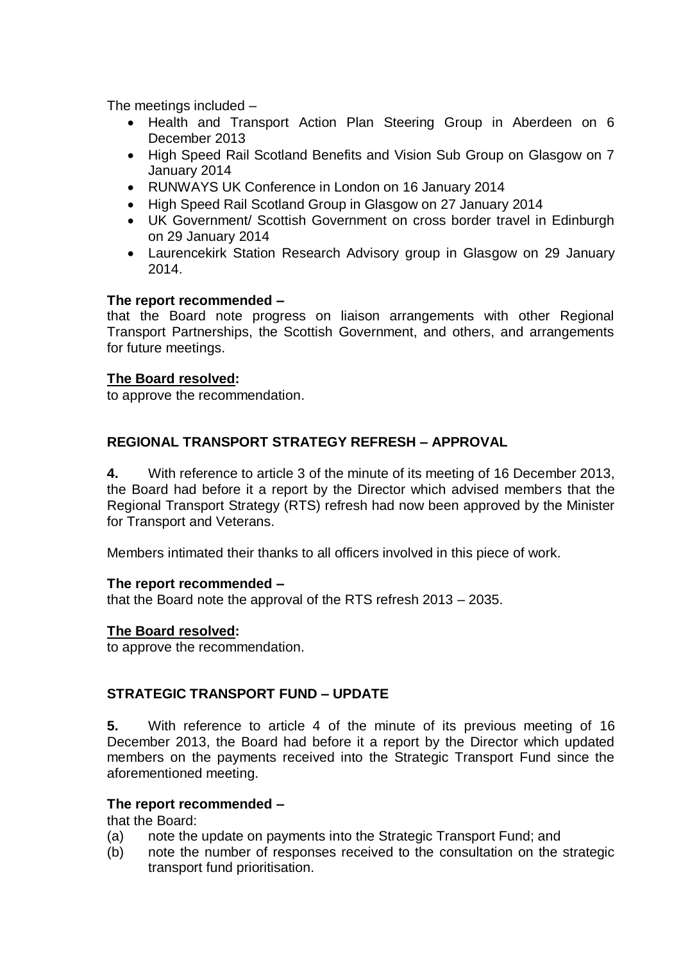The meetings included –

- Health and Transport Action Plan Steering Group in Aberdeen on 6 December 2013
- High Speed Rail Scotland Benefits and Vision Sub Group on Glasgow on 7 January 2014
- RUNWAYS UK Conference in London on 16 January 2014
- High Speed Rail Scotland Group in Glasgow on 27 January 2014
- UK Government/ Scottish Government on cross border travel in Edinburgh on 29 January 2014
- Laurencekirk Station Research Advisory group in Glasgow on 29 January 2014.

# **The report recommended –**

that the Board note progress on liaison arrangements with other Regional Transport Partnerships, the Scottish Government, and others, and arrangements for future meetings.

# **The Board resolved:**

to approve the recommendation.

# **REGIONAL TRANSPORT STRATEGY REFRESH – APPROVAL**

**4.** With reference to article 3 of the minute of its meeting of 16 December 2013, the Board had before it a report by the Director which advised members that the Regional Transport Strategy (RTS) refresh had now been approved by the Minister for Transport and Veterans.

Members intimated their thanks to all officers involved in this piece of work.

## **The report recommended –**

that the Board note the approval of the RTS refresh 2013 – 2035.

# **The Board resolved:**

to approve the recommendation.

# **STRATEGIC TRANSPORT FUND – UPDATE**

**5.** With reference to article 4 of the minute of its previous meeting of 16 December 2013, the Board had before it a report by the Director which updated members on the payments received into the Strategic Transport Fund since the aforementioned meeting.

## **The report recommended –**

that the Board:

- (a) note the update on payments into the Strategic Transport Fund; and
- (b) note the number of responses received to the consultation on the strategic transport fund prioritisation.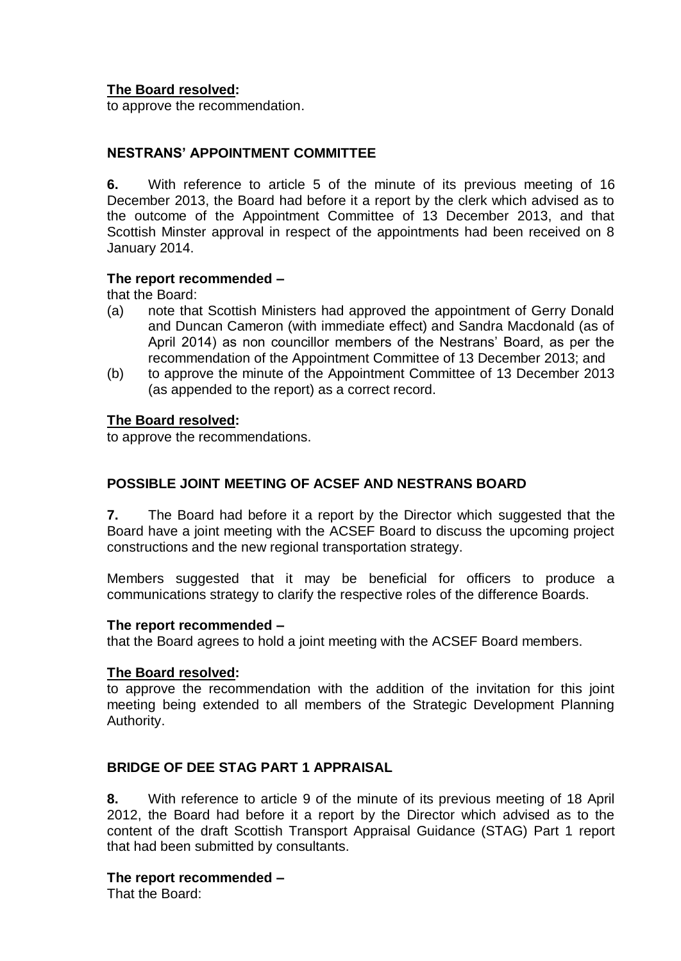# **The Board resolved:**

to approve the recommendation.

## **NESTRANS' APPOINTMENT COMMITTEE**

**6.** With reference to article 5 of the minute of its previous meeting of 16 December 2013, the Board had before it a report by the clerk which advised as to the outcome of the Appointment Committee of 13 December 2013, and that Scottish Minster approval in respect of the appointments had been received on 8 January 2014.

### **The report recommended –**

that the Board:

- (a) note that Scottish Ministers had approved the appointment of Gerry Donald and Duncan Cameron (with immediate effect) and Sandra Macdonald (as of April 2014) as non councillor members of the Nestrans' Board, as per the recommendation of the Appointment Committee of 13 December 2013; and
- (b) to approve the minute of the Appointment Committee of 13 December 2013 (as appended to the report) as a correct record.

### **The Board resolved:**

to approve the recommendations.

# **POSSIBLE JOINT MEETING OF ACSEF AND NESTRANS BOARD**

**7.** The Board had before it a report by the Director which suggested that the Board have a joint meeting with the ACSEF Board to discuss the upcoming project constructions and the new regional transportation strategy.

Members suggested that it may be beneficial for officers to produce a communications strategy to clarify the respective roles of the difference Boards.

#### **The report recommended –**

that the Board agrees to hold a joint meeting with the ACSEF Board members.

#### **The Board resolved:**

to approve the recommendation with the addition of the invitation for this joint meeting being extended to all members of the Strategic Development Planning Authority.

## **BRIDGE OF DEE STAG PART 1 APPRAISAL**

**8.** With reference to article 9 of the minute of its previous meeting of 18 April 2012, the Board had before it a report by the Director which advised as to the content of the draft Scottish Transport Appraisal Guidance (STAG) Part 1 report that had been submitted by consultants.

#### **The report recommended –**

That the Board: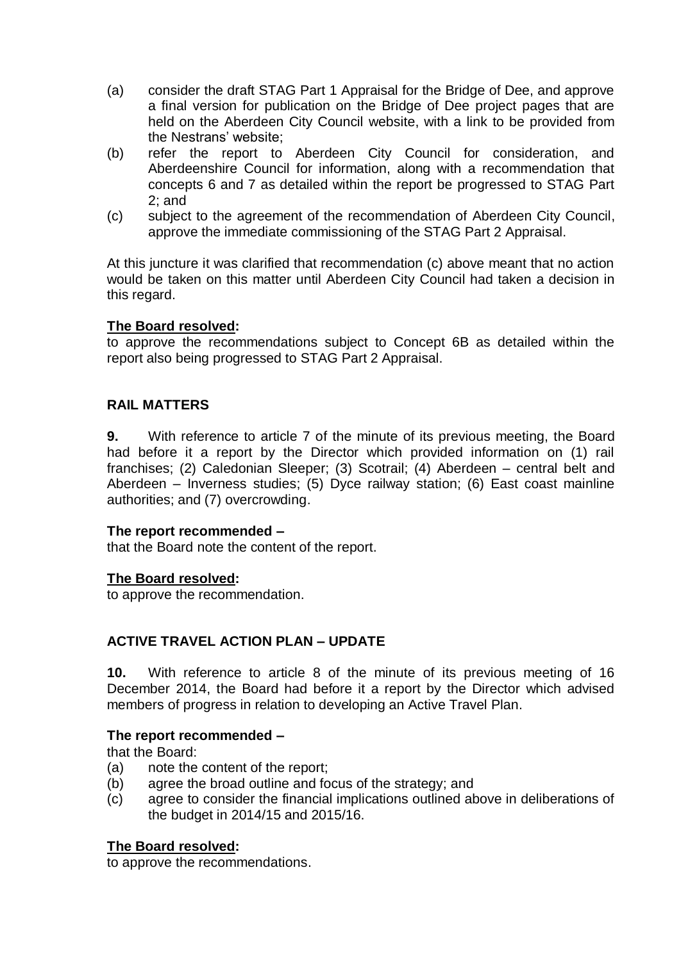- (a) consider the draft STAG Part 1 Appraisal for the Bridge of Dee, and approve a final version for publication on the Bridge of Dee project pages that are held on the Aberdeen City Council website, with a link to be provided from the Nestrans' website;
- (b) refer the report to Aberdeen City Council for consideration, and Aberdeenshire Council for information, along with a recommendation that concepts 6 and 7 as detailed within the report be progressed to STAG Part 2; and
- (c) subject to the agreement of the recommendation of Aberdeen City Council, approve the immediate commissioning of the STAG Part 2 Appraisal.

At this juncture it was clarified that recommendation (c) above meant that no action would be taken on this matter until Aberdeen City Council had taken a decision in this regard.

# **The Board resolved:**

to approve the recommendations subject to Concept 6B as detailed within the report also being progressed to STAG Part 2 Appraisal.

# **RAIL MATTERS**

**9.** With reference to article 7 of the minute of its previous meeting, the Board had before it a report by the Director which provided information on (1) rail franchises; (2) Caledonian Sleeper; (3) Scotrail; (4) Aberdeen – central belt and Aberdeen – Inverness studies; (5) Dyce railway station; (6) East coast mainline authorities; and (7) overcrowding.

## **The report recommended –**

that the Board note the content of the report.

## **The Board resolved:**

to approve the recommendation.

# **ACTIVE TRAVEL ACTION PLAN – UPDATE**

**10.** With reference to article 8 of the minute of its previous meeting of 16 December 2014, the Board had before it a report by the Director which advised members of progress in relation to developing an Active Travel Plan.

## **The report recommended –**

that the Board:

- (a) note the content of the report;
- (b) agree the broad outline and focus of the strategy; and
- (c) agree to consider the financial implications outlined above in deliberations of the budget in 2014/15 and 2015/16.

## **The Board resolved:**

to approve the recommendations.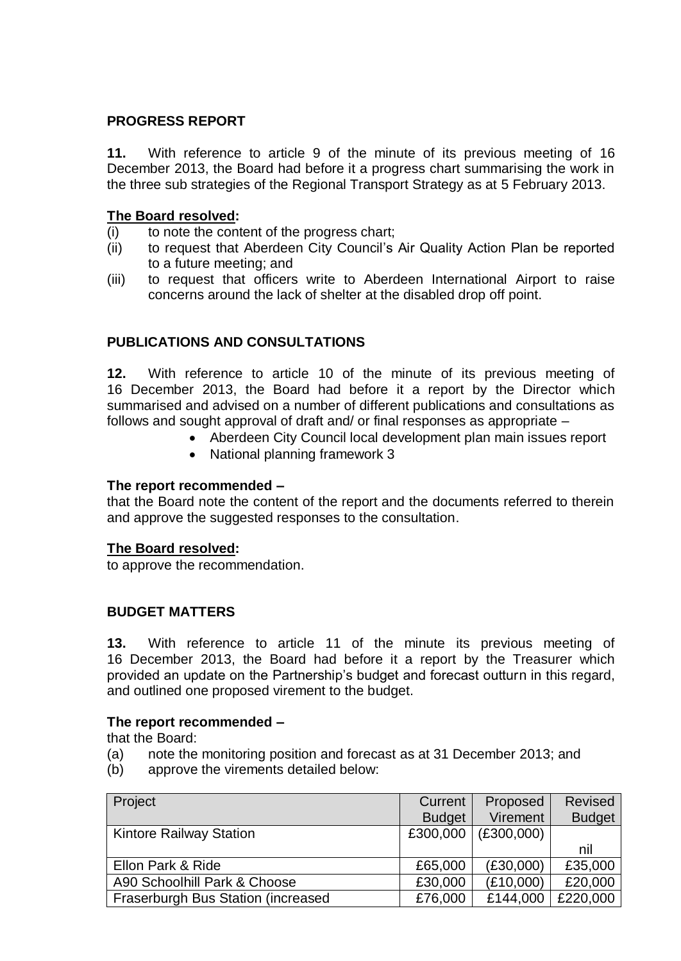# **PROGRESS REPORT**

**11.** With reference to article 9 of the minute of its previous meeting of 16 December 2013, the Board had before it a progress chart summarising the work in the three sub strategies of the Regional Transport Strategy as at 5 February 2013.

# **The Board resolved:**

- (i) to note the content of the progress chart;
- (ii) to request that Aberdeen City Council's Air Quality Action Plan be reported to a future meeting; and
- (iii) to request that officers write to Aberdeen International Airport to raise concerns around the lack of shelter at the disabled drop off point.

# **PUBLICATIONS AND CONSULTATIONS**

**12.** With reference to article 10 of the minute of its previous meeting of 16 December 2013, the Board had before it a report by the Director which summarised and advised on a number of different publications and consultations as follows and sought approval of draft and/ or final responses as appropriate –

- Aberdeen City Council local development plan main issues report
- National planning framework 3

## **The report recommended –**

that the Board note the content of the report and the documents referred to therein and approve the suggested responses to the consultation.

## **The Board resolved:**

to approve the recommendation.

## **BUDGET MATTERS**

**13.** With reference to article 11 of the minute its previous meeting of 16 December 2013, the Board had before it a report by the Treasurer which provided an update on the Partnership's budget and forecast outturn in this regard, and outlined one proposed virement to the budget.

#### **The report recommended –**

that the Board:

- (a) note the monitoring position and forecast as at 31 December 2013; and
- (b) approve the virements detailed below:

| Project                            | Current       | Proposed   | <b>Revised</b> |
|------------------------------------|---------------|------------|----------------|
|                                    | <b>Budget</b> | Virement   | <b>Budget</b>  |
| <b>Kintore Railway Station</b>     | £300,000      | (E300,000) |                |
|                                    |               |            | nil            |
| Ellon Park & Ride                  | £65,000       | (E30,000)  | £35,000        |
| A90 Schoolhill Park & Choose       | £30,000       | (E10,000)  | £20,000        |
| Fraserburgh Bus Station (increased | £76,000       | £144,000   | £220,000       |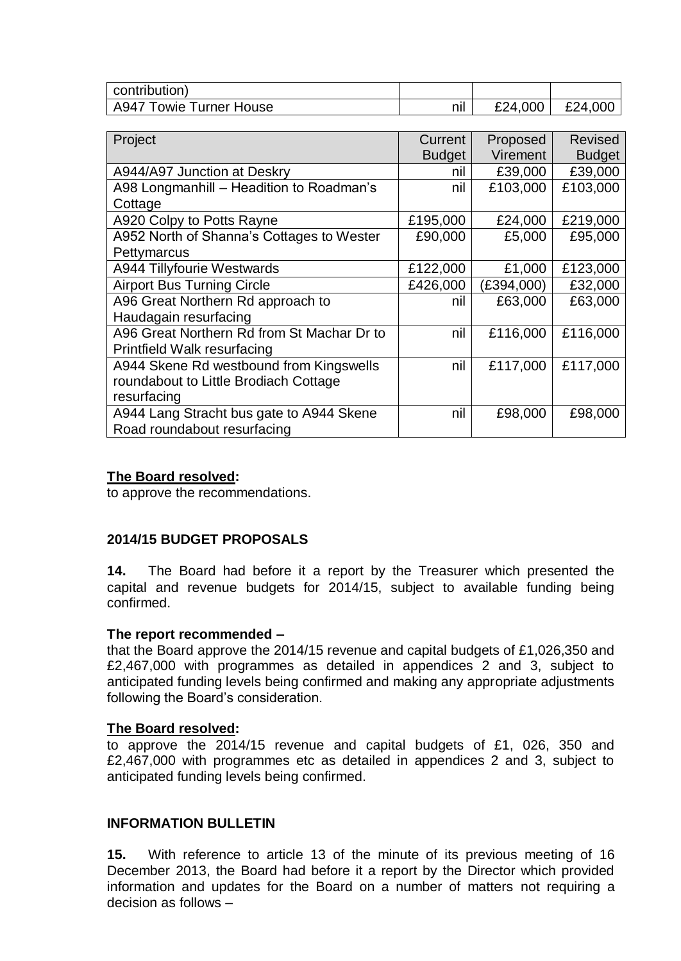| contribution)           |         |         |         |
|-------------------------|---------|---------|---------|
| A947 Towie Turner House | <br>nıl | £24,000 | £24,000 |

| Project                                    | Current       | Proposed   | Revised       |
|--------------------------------------------|---------------|------------|---------------|
|                                            | <b>Budget</b> | Virement   | <b>Budget</b> |
| A944/A97 Junction at Deskry                | nil           | £39,000    | £39,000       |
| A98 Longmanhill - Headition to Roadman's   | nil           | £103,000   | £103,000      |
| Cottage                                    |               |            |               |
| A920 Colpy to Potts Rayne                  | £195,000      | £24,000    | £219,000      |
| A952 North of Shanna's Cottages to Wester  | £90,000       | £5,000     | £95,000       |
| Pettymarcus                                |               |            |               |
| A944 Tillyfourie Westwards                 | £122,000      | £1,000     | £123,000      |
| <b>Airport Bus Turning Circle</b>          | £426,000      | (£394,000) | £32,000       |
| A96 Great Northern Rd approach to          | nil           | £63,000    | £63,000       |
| Haudagain resurfacing                      |               |            |               |
| A96 Great Northern Rd from St Machar Dr to | nil           | £116,000   | £116,000      |
| Printfield Walk resurfacing                |               |            |               |
| A944 Skene Rd westbound from Kingswells    | nil           | £117,000   | £117,000      |
| roundabout to Little Brodiach Cottage      |               |            |               |
| resurfacing                                |               |            |               |
| A944 Lang Stracht bus gate to A944 Skene   | nil           | £98,000    | £98,000       |
| Road roundabout resurfacing                |               |            |               |

### **The Board resolved:**

to approve the recommendations.

## **2014/15 BUDGET PROPOSALS**

**14.** The Board had before it a report by the Treasurer which presented the capital and revenue budgets for 2014/15, subject to available funding being confirmed.

## **The report recommended –**

that the Board approve the 2014/15 revenue and capital budgets of £1,026,350 and £2,467,000 with programmes as detailed in appendices 2 and 3, subject to anticipated funding levels being confirmed and making any appropriate adjustments following the Board's consideration.

#### **The Board resolved:**

to approve the 2014/15 revenue and capital budgets of £1, 026, 350 and £2,467,000 with programmes etc as detailed in appendices 2 and 3, subject to anticipated funding levels being confirmed.

## **INFORMATION BULLETIN**

**15.** With reference to article 13 of the minute of its previous meeting of 16 December 2013, the Board had before it a report by the Director which provided information and updates for the Board on a number of matters not requiring a decision as follows –